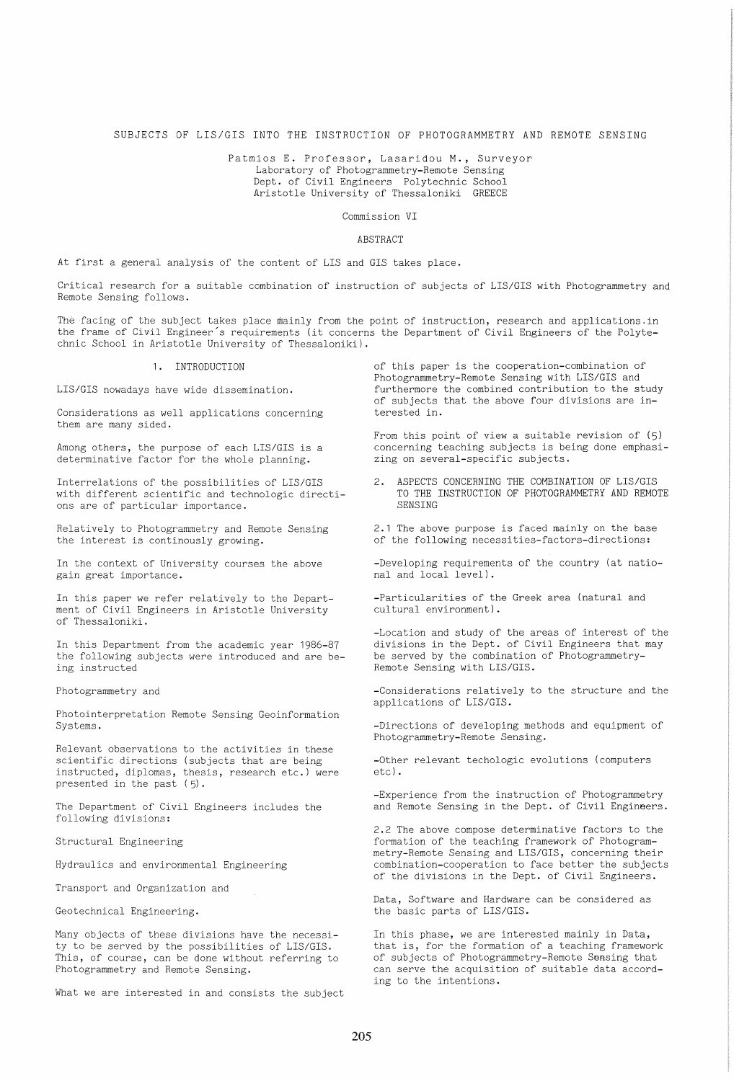# SUBJECTS OF LIS/GIS INTO THE INSTRUCTION OF PHOTOGRAMMETRY AND REMOTE SENSING

Patmios E. Professor, Lasaridou **M.,** Surveyor Laboratory of Photogrammetry-Remote Sensing Dept. of Civil Engineers Polytechnic School Aristotle University of Thessaloniki GREECE

Commission VI

#### ABSTRACT

At first a general analysis of the content of LIS and GIS takes place.

Critical research for a suitable combination of instruction of subjects of LIS/GIS with Photogrammetry and Remote Sensing follows.

The facing of the subject takes place mainly from the point of instruction, research and applications.in the frame of Civil Engineer's requirements (it concerns the Department of Civil Engineers of the Polytechnic School in Aristotle University of Thessaloniki).

## **1.** INTRODUCTION

LIS/GIS nowadays have wide dissemination.

Considerations as well applications concerning them are many sided.

Among others, the purpose of each LIS/GIS is a determinative factor for the whole planning.

Interrelations of the possibilities of LIS/GIS with different scientific and technologic directions are of particular importance.

Relatively to Photogrammetry and Remote Sensing the interest is continously growing.

In the context of University courses the above gain great importance.

In this paper we refer relatively to the Department of Civil Engineers in Aristotle University of Thessaloniki.

In this Department from the academic year 1986-87 the following subjects were introduced and are being instructed

Photogrammetry and

Photointerpretation Remote Sensing Geoinformation Systems.

Relevant observations to the activities in these scientific directions (subjects that are being instructed, diplomas, thesis, research etc.) were presented in the past  $(5)$ .

The Department of Civil Engineers includes the following divisions:

Structural Engineering

Hydraulics and environmental Engineering

Transport and Organization and

Geotechnical Engineering.

Many objects of these divisions have the necessity to be served by the possibilities of LIS/GIS. This, of course, can be done without referring to Photogrammetry and Remote Sensing.

What we are interested in and consists the subject

of this paper is the cooperation-combination of Photogrammetry-Remote Sensing with LIS/GIS and furthermore the combined contribution to the study of subjects that the above four divisions are interested in.

From this point of view a suitable revision of (5) concerning teaching subjects is being done emphasizing on several-specific subjects.

2. ASPECTS CONCERNING THE COMBINATION OF LIS/GIS TO THE INSTRUCTION OF PHOTOGRAMMETRY AND REMOTE SENSING

2.1 The above purpose is faced mainly on the base of the following necessities-factors-directions:

-Developing requirements of the country (at national and local level).

-Particularities of the Greek area (natural and cultural environment).

-Location and study of the areas of interest of the divisions in the Dept. of Civil Engineers that may be served by the combination of Photogrammetry-Remote Sensing with LIS/GIS.

-Considerations relatively to the structure and the applications of LIS/GIS.

-Directions of developing methods and equipment of Photogrammetry-Remote Sensing.

-Other relevant techologic evolutions (computers etc).

-Experience from the instruction of Photogrammetry and Remote Sensing in the Dept. of Civil Engineers.

2.2 The above compose determinative factors to the formation of the teaching framework of Photogrammetry-Remote Sensing and LIS/GIS, concerning their combination-cooperation to face better the subjects of the divisions in the Dept. of Civil Engineers.

Data, Software and Hardware can be considered as the basic parts of LIS/GIS.

In this phase, we are interested mainly in Data, that is, for the formation of a teaching framework of subjects of Photogrammetry-Remote Sensing that can serve the acquisition of suitable data according to the intentions.